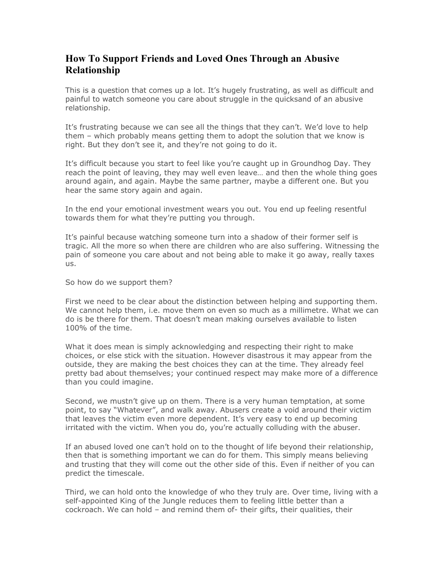## How To Support Friends and Loved Ones Through an Abusive Relationship

This is a question that comes up a lot. It's hugely frustrating, as well as difficult and painful to watch someone you care about struggle in the quicksand of an abusive relationship.

It's frustrating because we can see all the things that they can't. We'd love to help them – which probably means getting them to adopt the solution that we know is right. But they don't see it, and they're not going to do it.

It's difficult because you start to feel like you're caught up in Groundhog Day. They reach the point of leaving, they may well even leave… and then the whole thing goes around again, and again. Maybe the same partner, maybe a different one. But you hear the same story again and again.

In the end your emotional investment wears you out. You end up feeling resentful towards them for what they're putting you through.

It's painful because watching someone turn into a shadow of their former self is tragic. All the more so when there are children who are also suffering. Witnessing the pain of someone you care about and not being able to make it go away, really taxes us.

So how do we support them?

First we need to be clear about the distinction between helping and supporting them. We cannot help them, i.e. move them on even so much as a millimetre. What we can do is be there for them. That doesn't mean making ourselves available to listen 100% of the time.

What it does mean is simply acknowledging and respecting their right to make choices, or else stick with the situation. However disastrous it may appear from the outside, they are making the best choices they can at the time. They already feel pretty bad about themselves; your continued respect may make more of a difference than you could imagine.

Second, we mustn't give up on them. There is a very human temptation, at some point, to say "Whatever", and walk away. Abusers create a void around their victim that leaves the victim even more dependent. It's very easy to end up becoming irritated with the victim. When you do, you're actually colluding with the abuser.

If an abused loved one can't hold on to the thought of life beyond their relationship, then that is something important we can do for them. This simply means believing and trusting that they will come out the other side of this. Even if neither of you can predict the timescale.

Third, we can hold onto the knowledge of who they truly are. Over time, living with a self-appointed King of the Jungle reduces them to feeling little better than a cockroach. We can hold – and remind them of- their gifts, their qualities, their